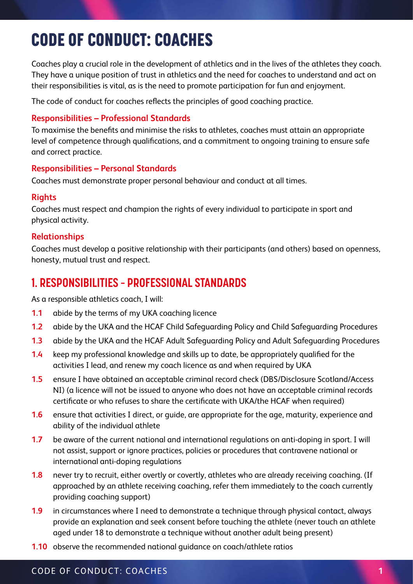# 2. CODE OF CONDUCT: COACHES CODE OF CONDUCT: COACHES

Coaches play a crucial role in the development of athletics and in the lives of the athletes they coach. They have a unique position of trust in athletics and the need for coaches to understand and act on their responsibilities is vital, as is the need to promote participation for fun and enjoyment.

The code of conduct for coaches reflects the principles of good coaching practice.

#### **Responsibilities – Professional Standards**

To maximise the benefits and minimise the risks to athletes, coaches must attain an appropriate level of competence through qualifications, and a commitment to ongoing training to ensure safe and correct practice.

### **Responsibilities – Personal Standards**

Coaches must demonstrate proper personal behaviour and conduct at all times.

### **Rights**

Coaches must respect and champion the rights of every individual to participate in sport and physical activity.

### **Relationships**

Coaches must develop a positive relationship with their participants (and others) based on openness, honesty, mutual trust and respect.

## **1. RESPONSIBILITIES – PROFESSIONAL STANDARDS**

As a responsible athletics coach, I will:

- **1.1** abide by the terms of my UKA coaching licence
- **1.2** abide by the UKA and the HCAF Child Safeguarding Policy and Child Safeguarding Procedures
- **1.3** abide by the UKA and the HCAF Adult Safeguarding Policy and Adult Safeguarding Procedures
- **1.4** keep my professional knowledge and skills up to date, be appropriately qualified for the activities I lead, and renew my coach licence as and when required by UKA
- **1.5** ensure I have obtained an acceptable criminal record check (DBS/Disclosure Scotland/Access NI) (a licence will not be issued to anyone who does not have an acceptable criminal records certificate or who refuses to share the certificate with UKA/the HCAF when required)
- **1.6** ensure that activities I direct, or guide, are appropriate for the age, maturity, experience and ability of the individual athlete
- **1.7** be aware of the current national and international regulations on anti-doping in sport. I will not assist, support or ignore practices, policies or procedures that contravene national or international anti-doping regulations
- **1.8** never try to recruit, either overtly or covertly, athletes who are already receiving coaching. (If approached by an athlete receiving coaching, refer them immediately to the coach currently providing coaching support)
- **1.9** in circumstances where I need to demonstrate a technique through physical contact, always provide an explanation and seek consent before touching the athlete (never touch an athlete aged under 18 to demonstrate a technique without another adult being present)
- **1.10** observe the recommended national guidance on coach/athlete ratios

### CODE OF CONDUCT: COACHES **1**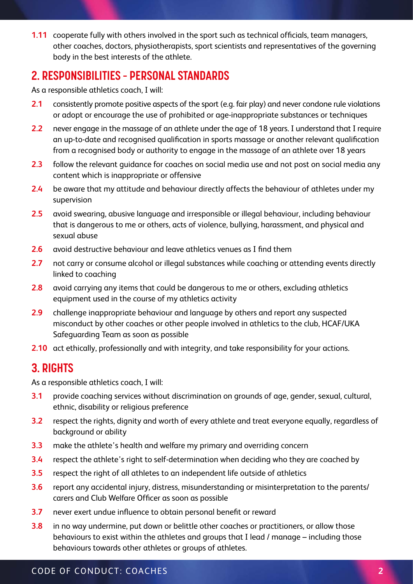**1.11** cooperate fully with others involved in the sport such as technical officials, team managers, other coaches, doctors, physiotherapists, sport scientists and representatives of the governing body in the best interests of the athlete.

## **2. RESPONSIBILITIES – PERSONAL STANDARDS**

As a responsible athletics coach, I will:

- **2.1** consistently promote positive aspects of the sport (e.g. fair play) and never condone rule violations or adopt or encourage the use of prohibited or age-inappropriate substances or techniques
- **2.2** never engage in the massage of an athlete under the age of 18 years. I understand that I require an up-to-date and recognised qualification in sports massage or another relevant qualification from a recognised body or authority to engage in the massage of an athlete over 18 years
- **2.3** follow the relevant guidance for coaches on social media use and not post on social media any content which is inappropriate or offensive
- **2.4** be aware that my attitude and behaviour directly affects the behaviour of athletes under my supervision
- **2.5** avoid swearing, abusive language and irresponsible or illegal behaviour, including behaviour that is dangerous to me or others, acts of violence, bullying, harassment, and physical and sexual abuse
- **2.6** avoid destructive behaviour and leave athletics venues as I find them
- **2.7** not carry or consume alcohol or illegal substances while coaching or attending events directly linked to coaching
- **2.8** avoid carrying any items that could be dangerous to me or others, excluding athletics equipment used in the course of my athletics activity
- **2.9** challenge inappropriate behaviour and language by others and report any suspected misconduct by other coaches or other people involved in athletics to the club, HCAF/UKA Safeguarding Team as soon as possible
- **2.10** act ethically, professionally and with integrity, and take responsibility for your actions.

### **3. RIGHTS**

As a responsible athletics coach, I will:

- **3.1** provide coaching services without discrimination on grounds of age, gender, sexual, cultural, ethnic, disability or religious preference
- **3.2** respect the rights, dignity and worth of every athlete and treat everyone equally, regardless of background or ability
- **3.3** make the athlete's health and welfare my primary and overriding concern
- **3.4** respect the athlete's right to self-determination when deciding who they are coached by
- **3.5** respect the right of all athletes to an independent life outside of athletics
- **3.6** report any accidental injury, distress, misunderstanding or misinterpretation to the parents/ carers and Club Welfare Officer as soon as possible
- **3.7** never exert undue influence to obtain personal benefit or reward
- **3.8** in no way undermine, put down or belittle other coaches or practitioners, or allow those behaviours to exist within the athletes and groups that I lead / manage – including those behaviours towards other athletes or groups of athletes.

#### CODE OF CONDUCT: COACHES **2**